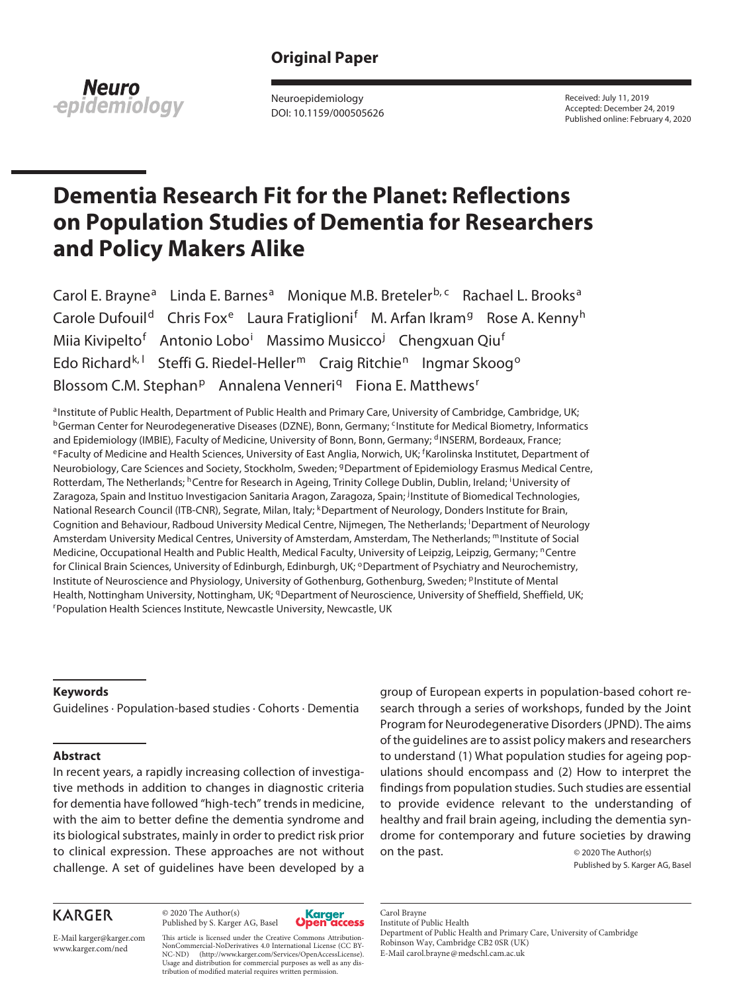

Neuroepidemiology DOI: 10.1159/000505626 Received: July 11, 2019 Accepted: December 24, 2019 Published online: February 4, 2020

# **Dementia Research Fit for the Planet: Reflections on Population Studies of Dementia for Researchers and Policy Makers Alike**

Carol E. Brayne<sup>a</sup> Linda E. Barnes<sup>a</sup> Monique M.B. Breteler<sup>b, c</sup> Rachael L. Brooks<sup>a</sup> Carole Dufouil<sup>d</sup> Chris Fox<sup>e</sup> Laura Fratiglioni<sup>f</sup> M. Arfan Ikram<sup>g</sup> Rose A. Kenny<sup>h</sup> Miia Kivipelto<sup>f</sup> Antonio Lobo<sup>i</sup> Massimo Musicco<sup>j</sup> Chengxuan Qiu<sup>f</sup> Edo Richard<sup>k, I</sup> Steffi G. Riedel-Heller<sup>m</sup> Craig Ritchie<sup>n</sup> Ingmar Skoog<sup>o</sup> Blossom C.M. Stephan<sup>p</sup> Annalena Venneri<sup>q</sup> Fiona E. Matthews<sup>r</sup>

aInstitute of Public Health, Department of Public Health and Primary Care, University of Cambridge, Cambridge, UK; <sup>b</sup>German Center for Neurodegenerative Diseases (DZNE), Bonn, Germany; <sup>c</sup>Institute for Medical Biometry, Informatics and Epidemiology (IMBIE), Faculty of Medicine, University of Bonn, Bonn, Germany; <sup>d</sup>INSERM, Bordeaux, France;<br><sup>e</sup>Faculty of Medicine and Health Sciences, University of East Anglia, Norwich, UK; <sup>f</sup>Karolinska Institutet, D Neurobiology, Care Sciences and Society, Stockholm, Sweden; gDepartment of Epidemiology Erasmus Medical Centre, Rotterdam, The Netherlands; <sup>h</sup>Centre for Research in Ageing, Trinity College Dublin, Dublin, Ireland; <sup>i</sup>University of Zaragoza, Spain and Instituo Investigacion Sanitaria Aragon, Zaragoza, Spain; <sup>j</sup> Institute of Biomedical Technologies, National Research Council (ITB-CNR), Segrate, Milan, Italy; <sup>k</sup>Department of Neurology, Donders Institute for Brain, Cognition and Behaviour, Radboud University Medical Centre, Nijmegen, The Netherlands; <sup>I</sup>Department of Neurology Amsterdam University Medical Centres, University of Amsterdam, Amsterdam, The Netherlands; mInstitute of Social Medicine, Occupational Health and Public Health, Medical Faculty, University of Leipzig, Leipzig, Germany; <sup>n</sup>Centre for Clinical Brain Sciences, University of Edinburgh, Edinburgh, UK; °Department of Psychiatry and Neurochemistry, Institute of Neuroscience and Physiology, University of Gothenburg, Gothenburg, Sweden; PInstitute of Mental Health, Nottingham University, Nottingham, UK; <sup>q</sup>Department of Neuroscience, University of Sheffield, Sheffield, UK; Population Health Sciences Institute, Newcastle University, Newcastle, UK

#### **Keywords**

Guidelines · Population-based studies · Cohorts · Dementia

#### **Abstract**

In recent years, a rapidly increasing collection of investigative methods in addition to changes in diagnostic criteria for dementia have followed "high-tech" trends in medicine, with the aim to better define the dementia syndrome and its biological substrates, mainly in order to predict risk prior to clinical expression. These approaches are not without challenge. A set of guidelines have been developed by a

group of European experts in population-based cohort research through a series of workshops, funded by the Joint Program for Neurodegenerative Disorders (JPND). The aims of the guidelines are to assist policy makers and researchers to understand (1) What population studies for ageing populations should encompass and (2) How to interpret the findings from population studies. Such studies are essential to provide evidence relevant to the understanding of healthy and frail brain ageing, including the dementia syndrome for contemporary and future societies by drawing on the past.  $\circ$  2020 The Author(s)

Published by S. Karger AG, Basel

# **KARGER**

© 2020 The Author(s) Published by S. Karger AG, Basel



Carol Brayne Institute of Public Health Department of Public Health and Primary Care, University of Cambridge Robinson Way, Cambridge CB2 0SR (UK) E-Mail carol.brayne@medschl.cam.ac.uk

E-Mail karger@karger.com www.karger.com/ned

This article is licensed under the Creative Commons Attribution-NonCommercial-NoDerivatives 4.0 International License (CC BY-NC-ND) (http://www.karger.com/Services/OpenAccessLicense). Usage and distribution for commercial purposes as well as any distribution of modified material requires written permission.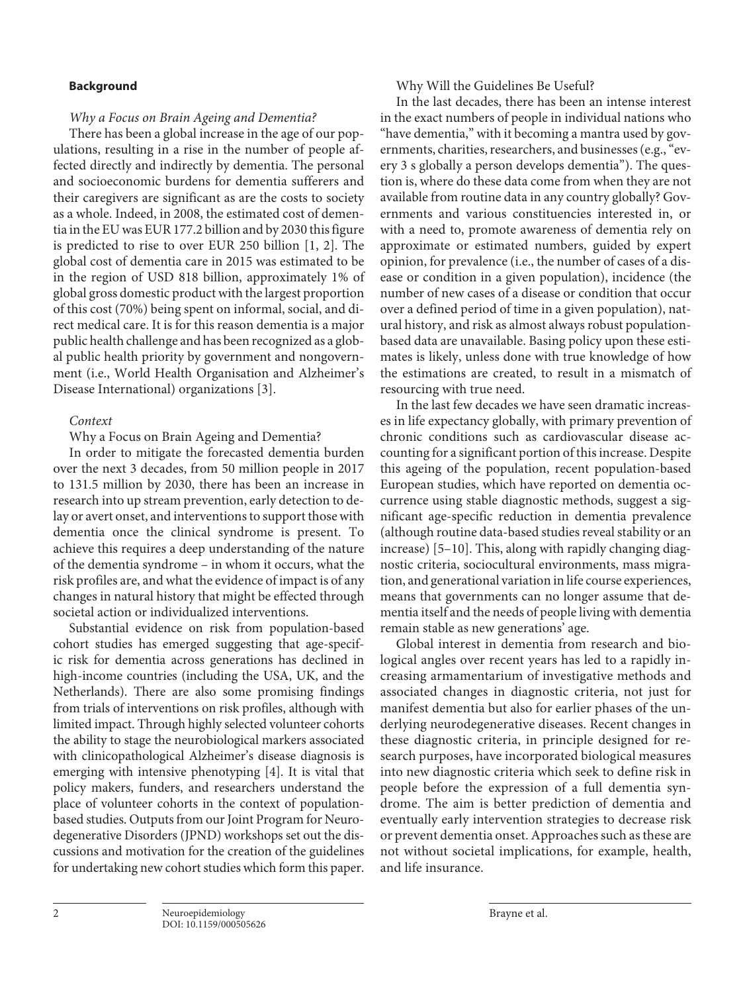### **Background**

#### *Why a Focus on Brain Ageing and Dementia?*

There has been a global increase in the age of our populations, resulting in a rise in the number of people affected directly and indirectly by dementia. The personal and socioeconomic burdens for dementia sufferers and their caregivers are significant as are the costs to society as a whole. Indeed, in 2008, the estimated cost of dementia in the EU was EUR 177.2 billion and by 2030 this figure is predicted to rise to over EUR 250 billion [\[1](#page-12-0), [2\]](#page-12-1). The global cost of dementia care in 2015 was estimated to be in the region of USD 818 billion, approximately 1% of global gross domestic product with the largest proportion of this cost (70%) being spent on informal, social, and direct medical care. It is for this reason dementia is a major public health challenge and has been recognized as a global public health priority by government and nongovernment (i.e., World Health Organisation and Alzheimer's Disease International) organizations [\[3](#page-12-2)].

### *Context*

Why a Focus on Brain Ageing and Dementia?

In order to mitigate the forecasted dementia burden over the next 3 decades, from 50 million people in 2017 to 131.5 million by 2030, there has been an increase in research into up stream prevention, early detection to delay or avert onset, and interventions to support those with dementia once the clinical syndrome is present. To achieve this requires a deep understanding of the nature of the dementia syndrome – in whom it occurs, what the risk profiles are, and what the evidence of impact is of any changes in natural history that might be effected through societal action or individualized interventions.

Substantial evidence on risk from population-based cohort studies has emerged suggesting that age-specific risk for dementia across generations has declined in high-income countries (including the USA, UK, and the Netherlands). There are also some promising findings from trials of interventions on risk profiles, although with limited impact. Through highly selected volunteer cohorts the ability to stage the neurobiological markers associated with clinicopathological Alzheimer's disease diagnosis is emerging with intensive phenotyping [\[4\]](#page-12-3). It is vital that policy makers, funders, and researchers understand the place of volunteer cohorts in the context of populationbased studies. Outputs from our Joint Program for Neurodegenerative Disorders (JPND) workshops set out the discussions and motivation for the creation of the guidelines for undertaking new cohort studies which form this paper.

<span id="page-1-0"></span>Why Will the Guidelines Be Useful?

In the last decades, there has been an intense interest in the exact numbers of people in individual nations who "have dementia," with it becoming a mantra used by governments, charities, researchers, and businesses (e.g., "every 3 s globally a person develops dementia"). The question is, where do these data come from when they are not available from routine data in any country globally? Governments and various constituencies interested in, or with a need to, promote awareness of dementia rely on approximate or estimated numbers, guided by expert opinion, for prevalence (i.e., the number of cases of a disease or condition in a given population), incidence (the number of new cases of a disease or condition that occur over a defined period of time in a given population), natural history, and risk as almost always robust populationbased data are unavailable. Basing policy upon these estimates is likely, unless done with true knowledge of how the estimations are created, to result in a mismatch of resourcing with true need.

<span id="page-1-1"></span>In the last few decades we have seen dramatic increases in life expectancy globally, with primary prevention of chronic conditions such as cardiovascular disease accounting for a significant portion of this increase. Despite this ageing of the population, recent population-based European studies, which have reported on dementia occurrence using stable diagnostic methods, suggest a significant age-specific reduction in dementia prevalence (although routine data-based studies reveal stability or an increase) [[5](#page-12-4)–[1](#page-12-0)0]. This, along with rapidly changing diagnostic criteria, sociocultural environments, mass migration, and generational variation in life course experiences, means that governments can no longer assume that dementia itself and the needs of people living with dementia remain stable as new generations' age.

<span id="page-1-3"></span><span id="page-1-2"></span>Global interest in dementia from research and biological angles over recent years has led to a rapidly increasing armamentarium of investigative methods and associated changes in diagnostic criteria, not just for manifest dementia but also for earlier phases of the underlying neurodegenerative diseases. Recent changes in these diagnostic criteria, in principle designed for research purposes, have incorporated biological measures into new diagnostic criteria which seek to define risk in people before the expression of a full dementia syndrome. The aim is better prediction of dementia and eventually early intervention strategies to decrease risk or prevent dementia onset. Approaches such as these are not without societal implications, for example, health, and life insurance.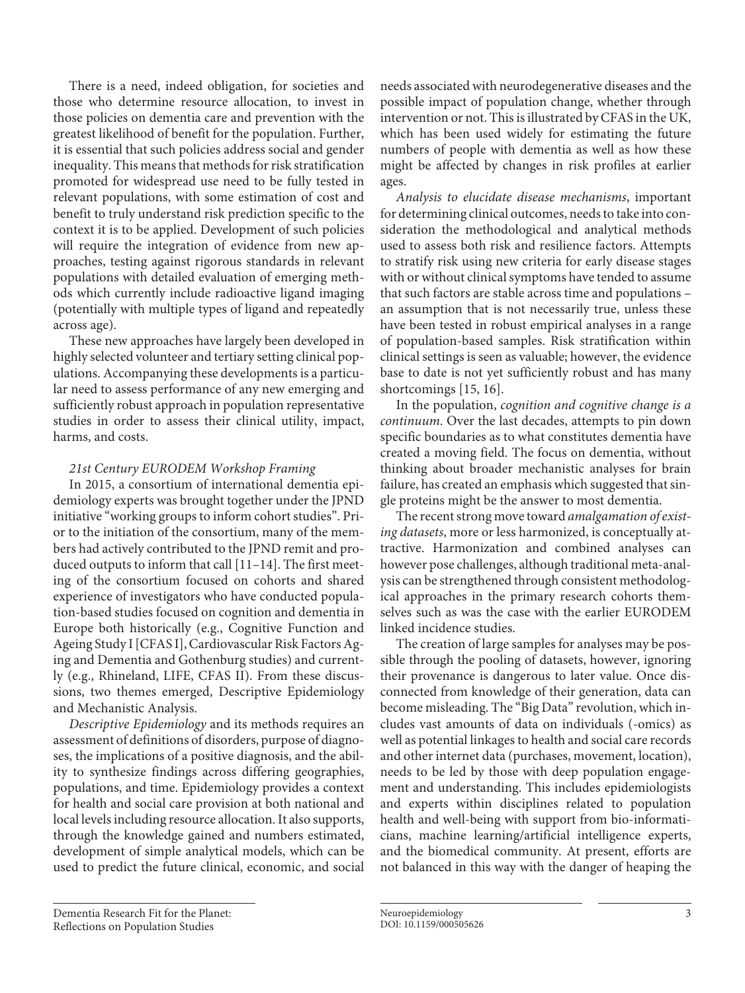There is a need, indeed obligation, for societies and those who determine resource allocation, to invest in those policies on dementia care and prevention with the greatest likelihood of benefit for the population. Further, it is essential that such policies address social and gender inequality. This means that methods for risk stratification promoted for widespread use need to be fully tested in relevant populations, with some estimation of cost and benefit to truly understand risk prediction specific to the context it is to be applied. Development of such policies will require the integration of evidence from new approaches, testing against rigorous standards in relevant populations with detailed evaluation of emerging methods which currently include radioactive ligand imaging (potentially with multiple types of ligand and repeatedly across age).

These new approaches have largely been developed in highly selected volunteer and tertiary setting clinical populations. Accompanying these developments is a particular need to assess performance of any new emerging and sufficiently robust approach in population representative studies in order to assess their clinical utility, impact, harms, and costs.

### *21st Century EURODEM Workshop Framing*

In 2015, a consortium of international dementia epidemiology experts was brought together under the JPND initiative "working groups to inform cohort studies". Prior to the initiation of the consortium, many of the members had actively contributed to the JPND remit and produced outputs to inform that call [\[11–1](#page-12-0)[4](#page-12-3)]. The first meeting of the consortium focused on cohorts and shared experience of investigators who have conducted population-based studies focused on cognition and dementia in Europe both historically (e.g., Cognitive Function and Ageing Study I [CFAS I], Cardiovascular Risk Factors Aging and Dementia and Gothenburg studies) and currently (e.g., Rhineland, LIFE, CFAS II). From these discussions, two themes emerged, Descriptive Epidemiology and Mechanistic Analysis.

*Descriptive Epidemiology* and its methods requires an assessment of definitions of disorders, purpose of diagnoses, the implications of a positive diagnosis, and the ability to synthesize findings across differing geographies, populations, and time. Epidemiology provides a context for health and social care provision at both national and local levels including resource allocation. It also supports, through the knowledge gained and numbers estimated, development of simple analytical models, which can be used to predict the future clinical, economic, and social needs associated with neurodegenerative diseases and the possible impact of population change, whether through intervention or not. This is illustrated by CFAS in the UK, which has been used widely for estimating the future numbers of people with dementia as well as how these might be affected by changes in risk profiles at earlier ages.

*Analysis to elucidate disease mechanisms*, important for determining clinical outcomes, needs to take into consideration the methodological and analytical methods used to assess both risk and resilience factors. Attempts to stratify risk using new criteria for early disease stages with or without clinical symptoms have tended to assume that such factors are stable across time and populations – an assumption that is not necessarily true, unless these have been tested in robust empirical analyses in a range of population-based samples. Risk stratification within clinical settings is seen as valuable; however, the evidence base to date is not yet sufficiently robust and has many shortcomings [[1](#page-12-0)[5](#page-12-4), [1](#page-12-0)[6\]](#page-12-5).

<span id="page-2-1"></span>In the population, *cognition and cognitive change is a continuum*. Over the last decades, attempts to pin down specific boundaries as to what constitutes dementia have created a moving field. The focus on dementia, without thinking about broader mechanistic analyses for brain failure, has created an emphasis which suggested that single proteins might be the answer to most dementia.

<span id="page-2-0"></span>The recent strong move toward *amalgamation of existing datasets*, more or less harmonized, is conceptually attractive. Harmonization and combined analyses can however pose challenges, although traditional meta-analysis can be strengthened through consistent methodological approaches in the primary research cohorts themselves such as was the case with the earlier EURODEM linked incidence studies.

The creation of large samples for analyses may be possible through the pooling of datasets, however, ignoring their provenance is dangerous to later value. Once disconnected from knowledge of their generation, data can become misleading. The "Big Data" revolution, which includes vast amounts of data on individuals (-omics) as well as potential linkages to health and social care records and other internet data (purchases, movement, location), needs to be led by those with deep population engagement and understanding. This includes epidemiologists and experts within disciplines related to population health and well-being with support from bio-informaticians, machine learning/artificial intelligence experts, and the biomedical community. At present, efforts are not balanced in this way with the danger of heaping the

#### Dementia Research Fit for the Planet: Reflections on Population Studies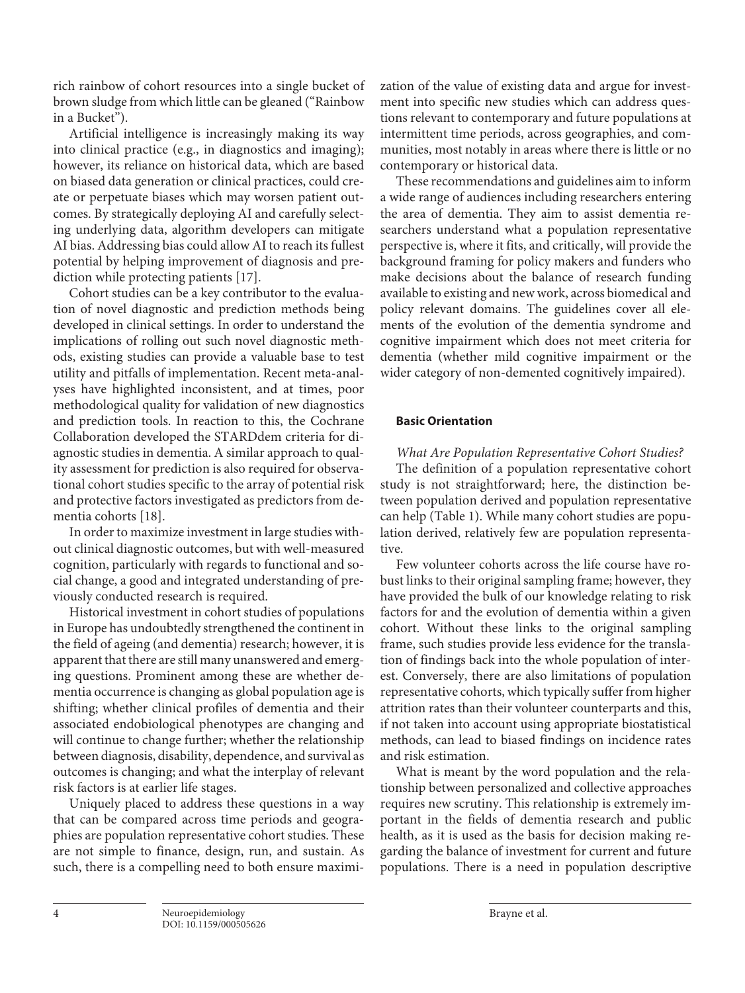rich rainbow of cohort resources into a single bucket of brown sludge from which little can be gleaned ("Rainbow in a Bucket").

Artificial intelligence is increasingly making its way into clinical practice (e.g., in diagnostics and imaging); however, its reliance on historical data, which are based on biased data generation or clinical practices, could create or perpetuate biases which may worsen patient outcomes. By strategically deploying AI and carefully selecting underlying data, algorithm developers can mitigate AI bias. Addressing bias could allow AI to reach its fullest potential by helping improvement of diagnosis and prediction while protecting patients [\[1](#page-12-0)[7\]](#page-12-6).

Cohort studies can be a key contributor to the evaluation of novel diagnostic and prediction methods being developed in clinical settings. In order to understand the implications of rolling out such novel diagnostic methods, existing studies can provide a valuable base to test utility and pitfalls of implementation. Recent meta-analyses have highlighted inconsistent, and at times, poor methodological quality for validation of new diagnostics and prediction tools. In reaction to this, the Cochrane Collaboration developed the STARDdem criteria for diagnostic studies in dementia. A similar approach to quality assessment for prediction is also required for observational cohort studies specific to the array of potential risk and protective factors investigated as predictors from dementia cohorts [\[1](#page-12-0)[8\]](#page-12-7).

In order to maximize investment in large studies without clinical diagnostic outcomes, but with well-measured cognition, particularly with regards to functional and social change, a good and integrated understanding of previously conducted research is required.

Historical investment in cohort studies of populations in Europe has undoubtedly strengthened the continent in the field of ageing (and dementia) research; however, it is apparent that there are still many unanswered and emerging questions. Prominent among these are whether dementia occurrence is changing as global population age is shifting; whether clinical profiles of dementia and their associated endobiological phenotypes are changing and will continue to change further; whether the relationship between diagnosis, disability, dependence, and survival as outcomes is changing; and what the interplay of relevant risk factors is at earlier life stages.

Uniquely placed to address these questions in a way that can be compared across time periods and geographies are population representative cohort studies. These are not simple to finance, design, run, and sustain. As such, there is a compelling need to both ensure maximization of the value of existing data and argue for investment into specific new studies which can address questions relevant to contemporary and future populations at intermittent time periods, across geographies, and communities, most notably in areas where there is little or no contemporary or historical data.

<span id="page-3-0"></span>These recommendations and guidelines aim to inform a wide range of audiences including researchers entering the area of dementia. They aim to assist dementia researchers understand what a population representative perspective is, where it fits, and critically, will provide the background framing for policy makers and funders who make decisions about the balance of research funding available to existing and new work, across biomedical and policy relevant domains. The guidelines cover all elements of the evolution of the dementia syndrome and cognitive impairment which does not meet criteria for dementia (whether mild cognitive impairment or the wider category of non-demented cognitively impaired).

### **Basic Orientation**

*What Are Population Representative Cohort Studies?*

<span id="page-3-1"></span>The definition of a population representative cohort study is not straightforward; here, the distinction between population derived and population representative can help (Table 1). While many cohort studies are population derived, relatively few are population representative.

Few volunteer cohorts across the life course have robust links to their original sampling frame; however, they have provided the bulk of our knowledge relating to risk factors for and the evolution of dementia within a given cohort. Without these links to the original sampling frame, such studies provide less evidence for the translation of findings back into the whole population of interest. Conversely, there are also limitations of population representative cohorts, which typically suffer from higher attrition rates than their volunteer counterparts and this, if not taken into account using appropriate biostatistical methods, can lead to biased findings on incidence rates and risk estimation.

What is meant by the word population and the relationship between personalized and collective approaches requires new scrutiny. This relationship is extremely important in the fields of dementia research and public health, as it is used as the basis for decision making regarding the balance of investment for current and future populations. There is a need in population descriptive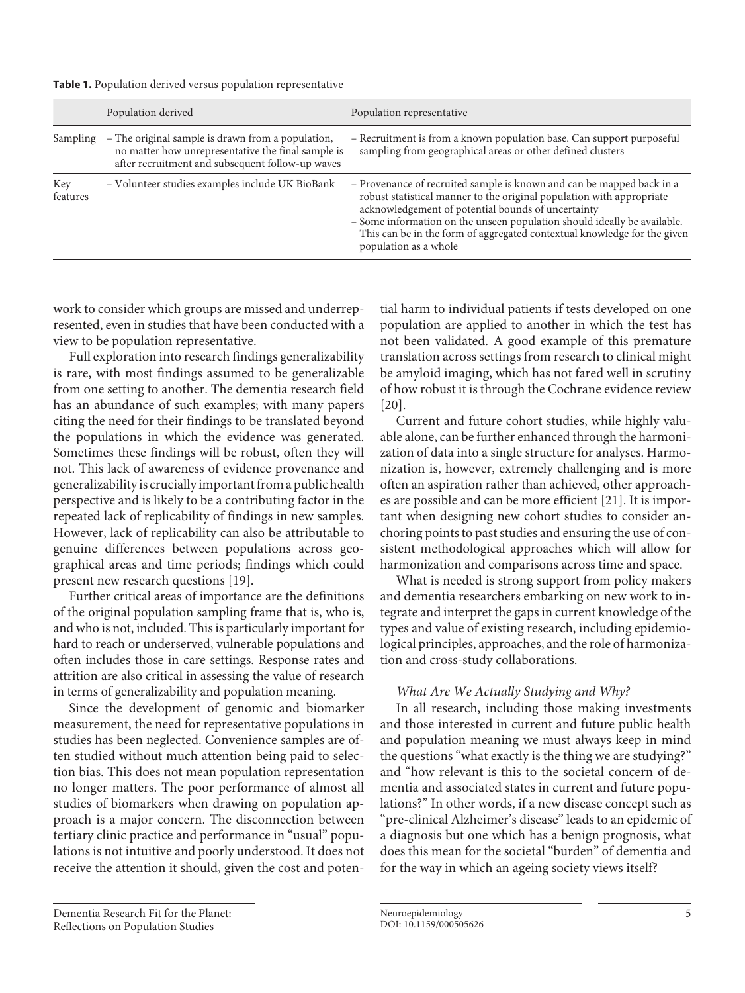**Table 1.** Population derived versus population representative

|                 | Population derived                                                                                                                                          | Population representative                                                                                                                                                                                                                                                                                                                                                             |
|-----------------|-------------------------------------------------------------------------------------------------------------------------------------------------------------|---------------------------------------------------------------------------------------------------------------------------------------------------------------------------------------------------------------------------------------------------------------------------------------------------------------------------------------------------------------------------------------|
| Sampling        | - The original sample is drawn from a population,<br>no matter how unrepresentative the final sample is<br>after recruitment and subsequent follow-up waves | - Recruitment is from a known population base. Can support purposeful<br>sampling from geographical areas or other defined clusters                                                                                                                                                                                                                                                   |
| Key<br>features | - Volunteer studies examples include UK BioBank                                                                                                             | - Provenance of recruited sample is known and can be mapped back in a<br>robust statistical manner to the original population with appropriate<br>acknowledgement of potential bounds of uncertainty<br>- Some information on the unseen population should ideally be available.<br>This can be in the form of aggregated contextual knowledge for the given<br>population as a whole |

work to consider which groups are missed and underrepresented, even in studies that have been conducted with a view to be population representative.

Full exploration into research findings generalizability is rare, with most findings assumed to be generalizable from one setting to another. The dementia research field has an abundance of such examples; with many papers citing the need for their findings to be translated beyond the populations in which the evidence was generated. Sometimes these findings will be robust, often they will not. This lack of awareness of evidence provenance and generalizability is crucially important from a public health perspective and is likely to be a contributing factor in the repeated lack of replicability of findings in new samples. However, lack of replicability can also be attributable to genuine differences between populations across geographical areas and time periods; findings which could present new research questions [\[1](#page-12-0)[9\]](#page-12-8).

Further critical areas of importance are the definitions of the original population sampling frame that is, who is, and who is not, included. This is particularly important for hard to reach or underserved, vulnerable populations and often includes those in care settings. Response rates and attrition are also critical in assessing the value of research in terms of generalizability and population meaning.

Since the development of genomic and biomarker measurement, the need for representative populations in studies has been neglected. Convenience samples are often studied without much attention being paid to selection bias. This does not mean population representation no longer matters. The poor performance of almost all studies of biomarkers when drawing on population approach is a major concern. The disconnection between tertiary clinic practice and performance in "usual" populations is not intuitive and poorly understood. It does not receive the attention it should, given the cost and potential harm to individual patients if tests developed on one population are applied to another in which the test has not been validated. A good example of this premature translation across settings from research to clinical might be amyloid imaging, which has not fared well in scrutiny of how robust it is through the Cochrane evidence review [[2](#page-12-1)0].

<span id="page-4-2"></span><span id="page-4-1"></span>Current and future cohort studies, while highly valuable alone, can be further enhanced through the harmonization of data into a single structure for analyses. Harmonization is, however, extremely challenging and is more often an aspiration rather than achieved, other approaches are possible and can be more efficient [\[2](#page-12-1)[1\]](#page-12-0). It is important when designing new cohort studies to consider anchoring points to past studies and ensuring the use of consistent methodological approaches which will allow for harmonization and comparisons across time and space.

<span id="page-4-0"></span>What is needed is strong support from policy makers and dementia researchers embarking on new work to integrate and interpret the gaps in current knowledge of the types and value of existing research, including epidemiological principles, approaches, and the role of harmonization and cross-study collaborations.

### *What Are We Actually Studying and Why?*

In all research, including those making investments and those interested in current and future public health and population meaning we must always keep in mind the questions "what exactly is the thing we are studying?" and "how relevant is this to the societal concern of dementia and associated states in current and future populations?" In other words, if a new disease concept such as "pre-clinical Alzheimer's disease" leads to an epidemic of a diagnosis but one which has a benign prognosis, what does this mean for the societal "burden" of dementia and for the way in which an ageing society views itself?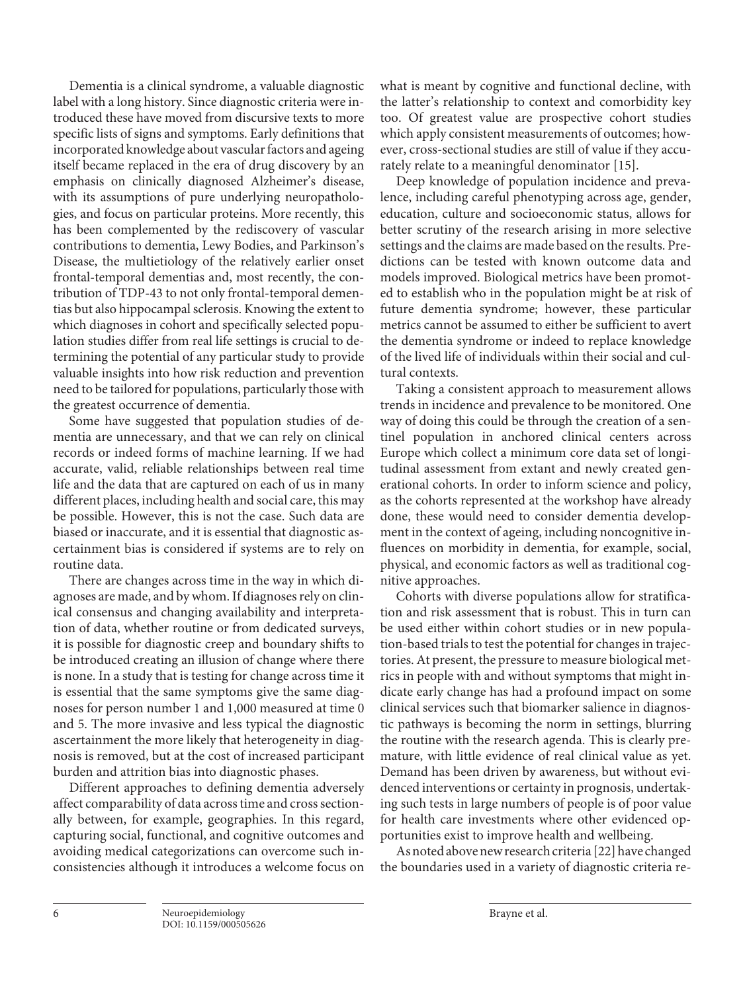Dementia is a clinical syndrome, a valuable diagnostic label with a long history. Since diagnostic criteria were introduced these have moved from discursive texts to more specific lists of signs and symptoms. Early definitions that incorporated knowledge about vascular factors and ageing itself became replaced in the era of drug discovery by an emphasis on clinically diagnosed Alzheimer's disease, with its assumptions of pure underlying neuropathologies, and focus on particular proteins. More recently, this has been complemented by the rediscovery of vascular contributions to dementia, Lewy Bodies, and Parkinson's Disease, the multietiology of the relatively earlier onset frontal-temporal dementias and, most recently, the contribution of TDP-43 to not only frontal-temporal dementias but also hippocampal sclerosis. Knowing the extent to which diagnoses in cohort and specifically selected population studies differ from real life settings is crucial to determining the potential of any particular study to provide valuable insights into how risk reduction and prevention need to be tailored for populations, particularly those with the greatest occurrence of dementia.

Some have suggested that population studies of dementia are unnecessary, and that we can rely on clinical records or indeed forms of machine learning. If we had accurate, valid, reliable relationships between real time life and the data that are captured on each of us in many different places, including health and social care, this may be possible. However, this is not the case. Such data are biased or inaccurate, and it is essential that diagnostic ascertainment bias is considered if systems are to rely on routine data.

There are changes across time in the way in which diagnoses are made, and by whom. If diagnoses rely on clinical consensus and changing availability and interpretation of data, whether routine or from dedicated surveys, it is possible for diagnostic creep and boundary shifts to be introduced creating an illusion of change where there is none. In a study that is testing for change across time it is essential that the same symptoms give the same diagnoses for person number 1 and 1,000 measured at time 0 and 5. The more invasive and less typical the diagnostic ascertainment the more likely that heterogeneity in diagnosis is removed, but at the cost of increased participant burden and attrition bias into diagnostic phases.

Different approaches to defining dementia adversely affect comparability of data across time and cross sectionally between, for example, geographies. In this regard, capturing social, functional, and cognitive outcomes and avoiding medical categorizations can overcome such inconsistencies although it introduces a welcome focus on

what is meant by cognitive and functional decline, with the latter's relationship to context and comorbidity key too. Of greatest value are prospective cohort studies which apply consistent measurements of outcomes; however, cross-sectional studies are still of value if they accurately relate to a meaningful denominator [\[1](#page-12-0)[5\]](#page-12-4).

Deep knowledge of population incidence and prevalence, including careful phenotyping across age, gender, education, culture and socioeconomic status, allows for better scrutiny of the research arising in more selective settings and the claims are made based on the results. Predictions can be tested with known outcome data and models improved. Biological metrics have been promoted to establish who in the population might be at risk of future dementia syndrome; however, these particular metrics cannot be assumed to either be sufficient to avert the dementia syndrome or indeed to replace knowledge of the lived life of individuals within their social and cultural contexts.

Taking a consistent approach to measurement allows trends in incidence and prevalence to be monitored. One way of doing this could be through the creation of a sentinel population in anchored clinical centers across Europe which collect a minimum core data set of longitudinal assessment from extant and newly created generational cohorts. In order to inform science and policy, as the cohorts represented at the workshop have already done, these would need to consider dementia development in the context of ageing, including noncognitive influences on morbidity in dementia, for example, social, physical, and economic factors as well as traditional cognitive approaches.

Cohorts with diverse populations allow for stratification and risk assessment that is robust. This in turn can be used either within cohort studies or in new population-based trials to test the potential for changes in trajectories. At present, the pressure to measure biological metrics in people with and without symptoms that might indicate early change has had a profound impact on some clinical services such that biomarker salience in diagnostic pathways is becoming the norm in settings, blurring the routine with the research agenda. This is clearly premature, with little evidence of real clinical value as yet. Demand has been driven by awareness, but without evidenced interventions or certainty in prognosis, undertaking such tests in large numbers of people is of poor value for health care investments where other evidenced opportunities exist to improve health and wellbeing.

<span id="page-5-0"></span>As noted above new research criteria [\[22\]](#page-12-1) have changed the boundaries used in a variety of diagnostic criteria re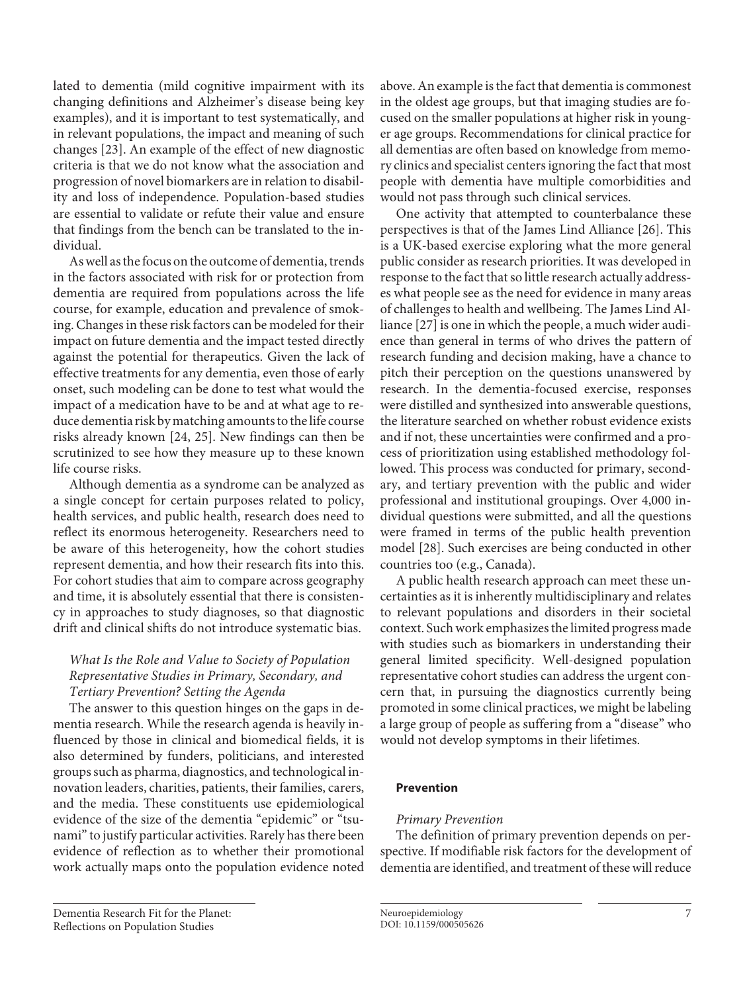<span id="page-6-0"></span>lated to dementia (mild cognitive impairment with its changing definitions and Alzheimer's disease being key examples), and it is important to test systematically, and in relevant populations, the impact and meaning of such changes [\[2](#page-12-1)[3\]](#page-12-2). An example of the effect of new diagnostic criteria is that we do not know what the association and progression of novel biomarkers are in relation to disability and loss of independence. Population-based studies are essential to validate or refute their value and ensure that findings from the bench can be translated to the individual.

As well as the focus on the outcome of dementia, trends in the factors associated with risk for or protection from dementia are required from populations across the life course, for example, education and prevalence of smoking. Changes in these risk factors can be modeled for their impact on future dementia and the impact tested directly against the potential for therapeutics. Given the lack of effective treatments for any dementia, even those of early onset, such modeling can be done to test what would the impact of a medication have to be and at what age to reduce dementia risk by matching amounts to the life course risks already known [\[2](#page-12-1)[4,](#page-12-3) [2](#page-12-1)[5](#page-12-4)]. New findings can then be scrutinized to see how they measure up to these known life course risks.

Although dementia as a syndrome can be analyzed as a single concept for certain purposes related to policy, health services, and public health, research does need to reflect its enormous heterogeneity. Researchers need to be aware of this heterogeneity, how the cohort studies represent dementia, and how their research fits into this. For cohort studies that aim to compare across geography and time, it is absolutely essential that there is consistency in approaches to study diagnoses, so that diagnostic drift and clinical shifts do not introduce systematic bias.

## *What Is the Role and Value to Society of Population Representative Studies in Primary, Secondary, and Tertiary Prevention? Setting the Agenda*

The answer to this question hinges on the gaps in dementia research. While the research agenda is heavily influenced by those in clinical and biomedical fields, it is also determined by funders, politicians, and interested groups such as pharma, diagnostics, and technological innovation leaders, charities, patients, their families, carers, and the media. These constituents use epidemiological evidence of the size of the dementia "epidemic" or "tsunami" to justify particular activities. Rarely has there been evidence of reflection as to whether their promotional work actually maps onto the population evidence noted above. An example is the fact that dementia is commonest in the oldest age groups, but that imaging studies are focused on the smaller populations at higher risk in younger age groups. Recommendations for clinical practice for all dementias are often based on knowledge from memory clinics and specialist centers ignoring the fact that most people with dementia have multiple comorbidities and would not pass through such clinical services.

<span id="page-6-3"></span><span id="page-6-2"></span>One activity that attempted to counterbalance these perspectives is that of the James Lind Alliance [[2](#page-12-1)[6](#page-12-5)]. This is a UK-based exercise exploring what the more general public consider as research priorities. It was developed in response to the fact that so little research actually addresses what people see as the need for evidence in many areas of challenges to health and wellbeing. The James Lind Alliance [[2](#page-12-1)[7](#page-12-6)] is one in which the people, a much wider audience than general in terms of who drives the pattern of research funding and decision making, have a chance to pitch their perception on the questions unanswered by research. In the dementia-focused exercise, responses were distilled and synthesized into answerable questions, the literature searched on whether robust evidence exists and if not, these uncertainties were confirmed and a process of prioritization using established methodology followed. This process was conducted for primary, secondary, and tertiary prevention with the public and wider professional and institutional groupings. Over 4,000 individual questions were submitted, and all the questions were framed in terms of the public health prevention model [[2](#page-12-1)[8](#page-12-7)]. Such exercises are being conducted in other countries too (e.g., Canada).

<span id="page-6-4"></span><span id="page-6-1"></span>A public health research approach can meet these uncertainties as it is inherently multidisciplinary and relates to relevant populations and disorders in their societal context. Such work emphasizes the limited progress made with studies such as biomarkers in understanding their general limited specificity. Well-designed population representative cohort studies can address the urgent concern that, in pursuing the diagnostics currently being promoted in some clinical practices, we might be labeling a large group of people as suffering from a "disease" who would not develop symptoms in their lifetimes.

### **Prevention**

### *Primary Prevention*

The definition of primary prevention depends on perspective. If modifiable risk factors for the development of dementia are identified, and treatment of these will reduce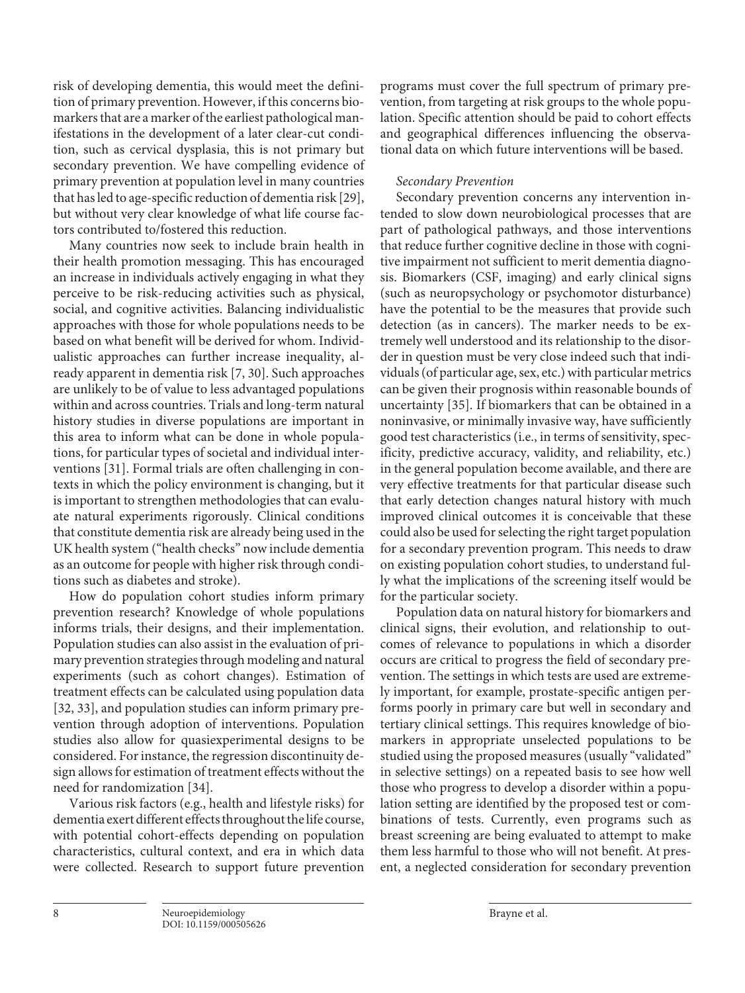risk of developing dementia, this would meet the definition of primary prevention. However, if this concerns biomarkers that are a marker of the earliest pathological manifestations in the development of a later clear-cut condition, such as cervical dysplasia, this is not primary but secondary prevention. We have compelling evidence of primary prevention at population level in many countries that has led to age-specific reduction of dementia risk [[2](#page-12-1)[9](#page-12-8)], but without very clear knowledge of what life course factors contributed to/fostered this reduction.

Many countries now seek to include brain health in their health promotion messaging. This has encouraged an increase in individuals actively engaging in what they perceive to be risk-reducing activities such as physical, social, and cognitive activities. Balancing individualistic approaches with those for whole populations needs to be based on what benefit will be derived for whom. Individualistic approaches can further increase inequality, already apparent in dementia risk [\[7](#page-12-6), [3](#page-12-2)0]. Such approaches are unlikely to be of value to less advantaged populations within and across countries. Trials and long-term natural history studies in diverse populations are important in this area to inform what can be done in whole populations, for particular types of societal and individual interventions [[31](#page-12-2)]. Formal trials are often challenging in contexts in which the policy environment is changing, but it is important to strengthen methodologies that can evaluate natural experiments rigorously. Clinical conditions that constitute dementia risk are already being used in the UK health system ("health checks" now include dementia as an outcome for people with higher risk through conditions such as diabetes and stroke).

<span id="page-7-1"></span>How do population cohort studies inform primary prevention research? Knowledge of whole populations informs trials, their designs, and their implementation. Population studies can also assist in the evaluation of primary prevention strategies through modeling and natural experiments (such as cohort changes). Estimation of treatment effects can be calculated using population data [\[3](#page-12-2)[2,](#page-12-1) [33](#page-12-2)], and population studies can inform primary prevention through adoption of interventions. Population studies also allow for quasiexperimental designs to be considered. For instance, the regression discontinuity design allows for estimation of treatment effects without the need for randomization [[3](#page-12-2)[4](#page-12-3)].

Various risk factors (e.g., health and lifestyle risks) for dementia exert different effects throughout the life course, with potential cohort-effects depending on population characteristics, cultural context, and era in which data were collected. Research to support future prevention

programs must cover the full spectrum of primary prevention, from targeting at risk groups to the whole population. Specific attention should be paid to cohort effects and geographical differences influencing the observational data on which future interventions will be based.

## <span id="page-7-0"></span>*Secondary Prevention*

Secondary prevention concerns any intervention intended to slow down neurobiological processes that are part of pathological pathways, and those interventions that reduce further cognitive decline in those with cognitive impairment not sufficient to merit dementia diagnosis. Biomarkers (CSF, imaging) and early clinical signs (such as neuropsychology or psychomotor disturbance) have the potential to be the measures that provide such detection (as in cancers). The marker needs to be extremely well understood and its relationship to the disorder in question must be very close indeed such that individuals (of particular age, sex, etc.) with particular metrics can be given their prognosis within reasonable bounds of uncertainty [\[3](#page-12-2)[5\]](#page-12-4). If biomarkers that can be obtained in a noninvasive, or minimally invasive way, have sufficiently good test characteristics (i.e., in terms of sensitivity, specificity, predictive accuracy, validity, and reliability, etc.) in the general population become available, and there are very effective treatments for that particular disease such that early detection changes natural history with much improved clinical outcomes it is conceivable that these could also be used for selecting the right target population for a secondary prevention program. This needs to draw on existing population cohort studies, to understand fully what the implications of the screening itself would be for the particular society.

Population data on natural history for biomarkers and clinical signs, their evolution, and relationship to outcomes of relevance to populations in which a disorder occurs are critical to progress the field of secondary prevention. The settings in which tests are used are extremely important, for example, prostate-specific antigen performs poorly in primary care but well in secondary and tertiary clinical settings. This requires knowledge of biomarkers in appropriate unselected populations to be studied using the proposed measures (usually "validated" in selective settings) on a repeated basis to see how well those who progress to develop a disorder within a population setting are identified by the proposed test or combinations of tests. Currently, even programs such as breast screening are being evaluated to attempt to make them less harmful to those who will not benefit. At present, a neglected consideration for secondary prevention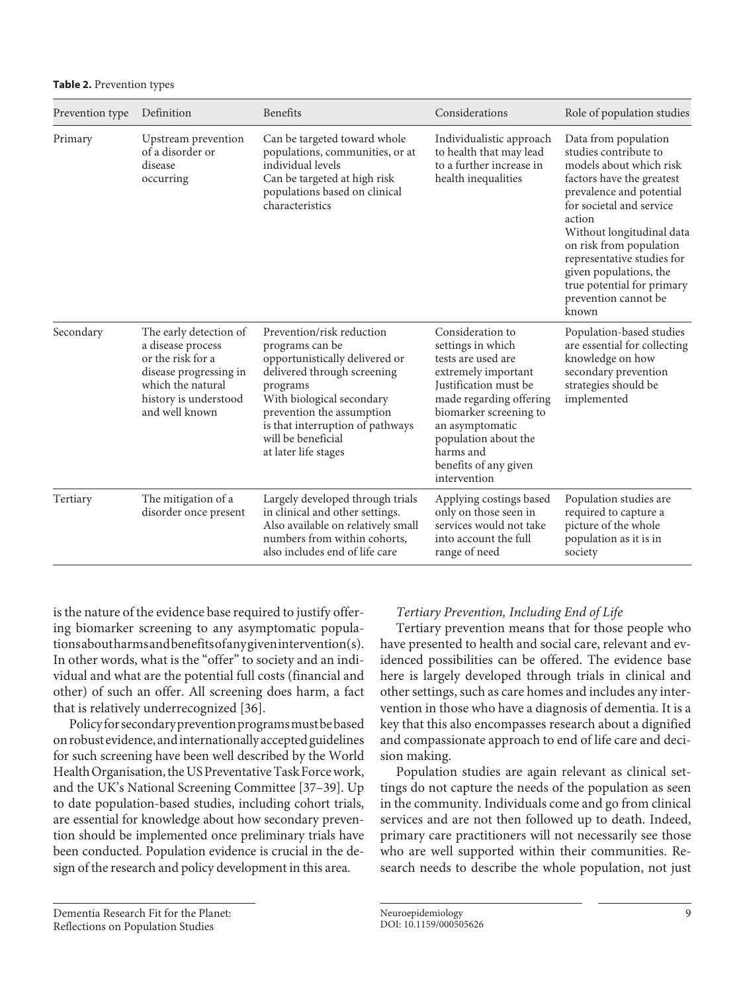| Table 2. Prevention types |
|---------------------------|
|---------------------------|

| Prevention type | Definition                                                                                                                                                 | <b>Benefits</b>                                                                                                                                                                                                                                                       | Considerations                                                                                                                                                                                                                                                    | Role of population studies                                                                                                                                                                                                                                                                                                                             |
|-----------------|------------------------------------------------------------------------------------------------------------------------------------------------------------|-----------------------------------------------------------------------------------------------------------------------------------------------------------------------------------------------------------------------------------------------------------------------|-------------------------------------------------------------------------------------------------------------------------------------------------------------------------------------------------------------------------------------------------------------------|--------------------------------------------------------------------------------------------------------------------------------------------------------------------------------------------------------------------------------------------------------------------------------------------------------------------------------------------------------|
| Primary         | Upstream prevention<br>of a disorder or<br>disease<br>occurring                                                                                            | Can be targeted toward whole<br>populations, communities, or at<br>individual levels<br>Can be targeted at high risk<br>populations based on clinical<br>characteristics                                                                                              | Individualistic approach<br>to health that may lead<br>to a further increase in<br>health inequalities                                                                                                                                                            | Data from population<br>studies contribute to<br>models about which risk<br>factors have the greatest<br>prevalence and potential<br>for societal and service<br>action<br>Without longitudinal data<br>on risk from population<br>representative studies for<br>given populations, the<br>true potential for primary<br>prevention cannot be<br>known |
| Secondary       | The early detection of<br>a disease process<br>or the risk for a<br>disease progressing in<br>which the natural<br>history is understood<br>and well known | Prevention/risk reduction<br>programs can be<br>opportunistically delivered or<br>delivered through screening<br>programs<br>With biological secondary<br>prevention the assumption<br>is that interruption of pathways<br>will be beneficial<br>at later life stages | Consideration to<br>settings in which<br>tests are used are<br>extremely important<br>Justification must be<br>made regarding offering<br>biomarker screening to<br>an asymptomatic<br>population about the<br>harms and<br>benefits of any given<br>intervention | Population-based studies<br>are essential for collecting<br>knowledge on how<br>secondary prevention<br>strategies should be<br>implemented                                                                                                                                                                                                            |
| Tertiary        | The mitigation of a<br>disorder once present                                                                                                               | Largely developed through trials<br>in clinical and other settings.<br>Also available on relatively small<br>numbers from within cohorts,<br>also includes end of life care                                                                                           | Applying costings based<br>only on those seen in<br>services would not take<br>into account the full<br>range of need                                                                                                                                             | Population studies are<br>required to capture a<br>picture of the whole<br>population as it is in<br>society                                                                                                                                                                                                                                           |

is the nature of the evidence base required to justify offering biomarker screening to any asymptomatic populations about harms and benefits of any given intervention(s). In other words, what is the "offer" to society and an individual and what are the potential full costs (financial and other) of such an offer. All screening does harm, a fact that is relatively underrecognized [[3](#page-12-2)[6](#page-12-5)].

Policy for secondary prevention programs must be based on robust evidence, and internationally accepted guidelines for such screening have been well described by the World Health Organisation, the US Preventative Task Force work, and the UK's National Screening Committee [[3](#page-12-2)[7–](#page-12-6)[3](#page-12-2)[9\]](#page-12-8). Up to date population-based studies, including cohort trials, are essential for knowledge about how secondary prevention should be implemented once preliminary trials have been conducted. Population evidence is crucial in the design of the research and policy development in this area.

### *Tertiary Prevention, Including End of Life*

Tertiary prevention means that for those people who have presented to health and social care, relevant and evidenced possibilities can be offered. The evidence base here is largely developed through trials in clinical and other settings, such as care homes and includes any intervention in those who have a diagnosis of dementia. It is a key that this also encompasses research about a dignified and compassionate approach to end of life care and decision making.

Population studies are again relevant as clinical settings do not capture the needs of the population as seen in the community. Individuals come and go from clinical services and are not then followed up to death. Indeed, primary care practitioners will not necessarily see those who are well supported within their communities. Research needs to describe the whole population, not just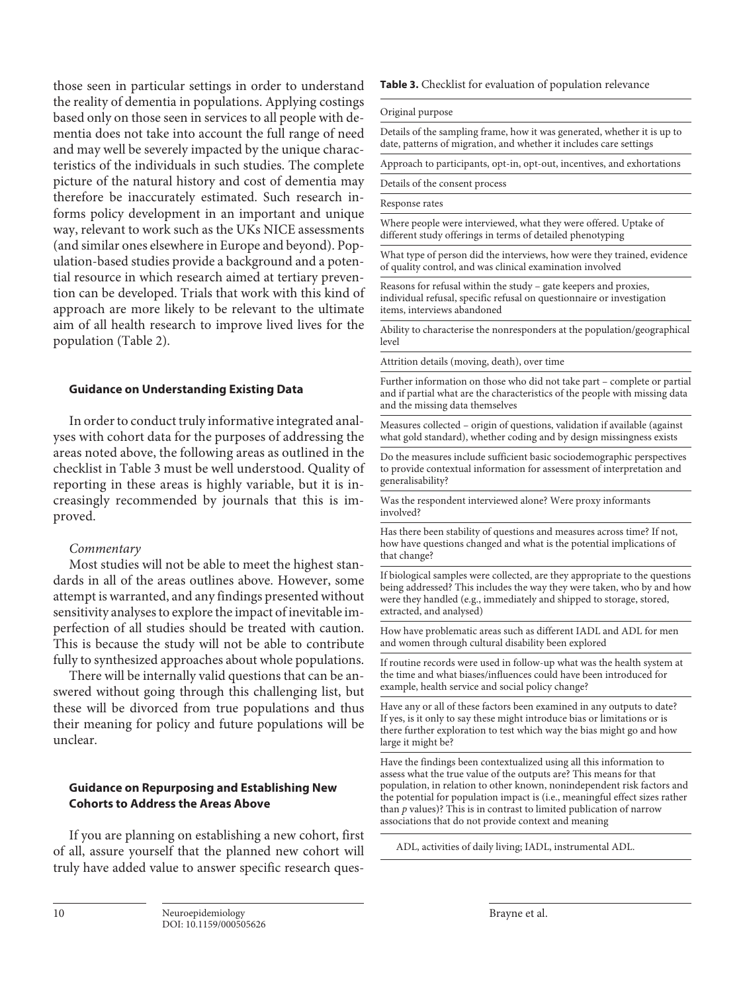those seen in particular settings in order to understand the reality of dementia in populations. Applying costings based only on those seen in services to all people with dementia does not take into account the full range of need and may well be severely impacted by the unique characteristics of the individuals in such studies. The complete picture of the natural history and cost of dementia may therefore be inaccurately estimated. Such research informs policy development in an important and unique way, relevant to work such as the UKs NICE assessments (and similar ones elsewhere in Europe and beyond). Population-based studies provide a background and a potential resource in which research aimed at tertiary prevention can be developed. Trials that work with this kind of approach are more likely to be relevant to the ultimate aim of all health research to improve lived lives for the population (Table 2).

#### **Guidance on Understanding Existing Data**

In order to conduct truly informative integrated analyses with cohort data for the purposes of addressing the areas noted above, the following areas as outlined in the checklist in Table 3 must be well understood. Quality of reporting in these areas is highly variable, but it is increasingly recommended by journals that this is improved.

### *Commentary*

Most studies will not be able to meet the highest standards in all of the areas outlines above. However, some attempt is warranted, and any findings presented without sensitivity analyses to explore the impact of inevitable imperfection of all studies should be treated with caution. This is because the study will not be able to contribute fully to synthesized approaches about whole populations.

There will be internally valid questions that can be answered without going through this challenging list, but these will be divorced from true populations and thus their meaning for policy and future populations will be unclear.

### **Guidance on Repurposing and Establishing New Cohorts to Address the Areas Above**

If you are planning on establishing a new cohort, first of all, assure yourself that the planned new cohort will truly have added value to answer specific research ques**Table 3.** Checklist for evaluation of population relevance

#### Original purpose

Details of the sampling frame, how it was generated, whether it is up to date, patterns of migration, and whether it includes care settings

Approach to participants, opt-in, opt-out, incentives, and exhortations

Details of the consent process

Response rates

Where people were interviewed, what they were offered. Uptake of different study offerings in terms of detailed phenotyping

What type of person did the interviews, how were they trained, evidence of quality control, and was clinical examination involved

Reasons for refusal within the study – gate keepers and proxies, individual refusal, specific refusal on questionnaire or investigation items, interviews abandoned

Ability to characterise the nonresponders at the population/geographical level

Attrition details (moving, death), over time

Further information on those who did not take part – complete or partial and if partial what are the characteristics of the people with missing data and the missing data themselves

Measures collected – origin of questions, validation if available (against what gold standard), whether coding and by design missingness exists

Do the measures include sufficient basic sociodemographic perspectives to provide contextual information for assessment of interpretation and generalisability?

Was the respondent interviewed alone? Were proxy informants involved?

Has there been stability of questions and measures across time? If not, how have questions changed and what is the potential implications of that change?

If biological samples were collected, are they appropriate to the questions being addressed? This includes the way they were taken, who by and how were they handled (e.g., immediately and shipped to storage, stored, extracted, and analysed)

How have problematic areas such as different IADL and ADL for men and women through cultural disability been explored

If routine records were used in follow-up what was the health system at the time and what biases/influences could have been introduced for example, health service and social policy change?

Have any or all of these factors been examined in any outputs to date? If yes, is it only to say these might introduce bias or limitations or is there further exploration to test which way the bias might go and how large it might be?

Have the findings been contextualized using all this information to assess what the true value of the outputs are? This means for that population, in relation to other known, nonindependent risk factors and the potential for population impact is (i.e., meaningful effect sizes rather than *p* values)? This is in contrast to limited publication of narrow associations that do not provide context and meaning

ADL, activities of daily living; IADL, instrumental ADL.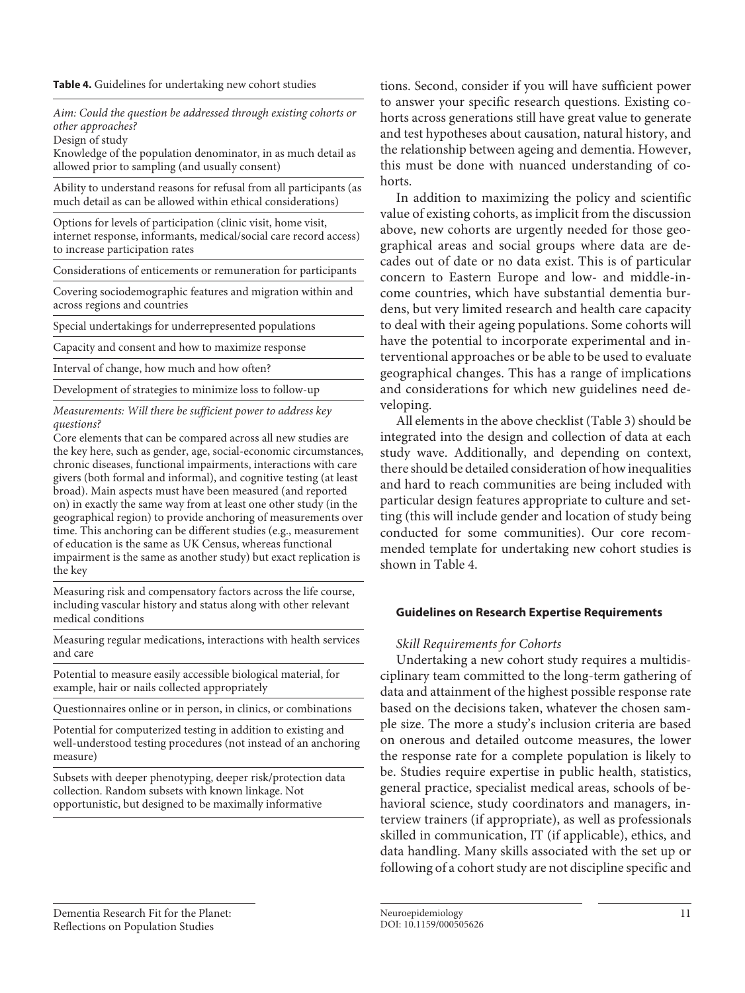**Table 4.** Guidelines for undertaking new cohort studies

*Aim: Could the question be addressed through existing cohorts or other approaches?*

Design of study

Knowledge of the population denominator, in as much detail as allowed prior to sampling (and usually consent)

Ability to understand reasons for refusal from all participants (as much detail as can be allowed within ethical considerations)

Options for levels of participation (clinic visit, home visit, internet response, informants, medical/social care record access) to increase participation rates

Considerations of enticements or remuneration for participants

Covering sociodemographic features and migration within and across regions and countries

Special undertakings for underrepresented populations

Capacity and consent and how to maximize response

Interval of change, how much and how often?

Development of strategies to minimize loss to follow-up

*Measurements: Will there be sufficient power to address key questions?*

Core elements that can be compared across all new studies are the key here, such as gender, age, social-economic circumstances, chronic diseases, functional impairments, interactions with care givers (both formal and informal), and cognitive testing (at least broad). Main aspects must have been measured (and reported on) in exactly the same way from at least one other study (in the geographical region) to provide anchoring of measurements over time. This anchoring can be different studies (e.g., measurement of education is the same as UK Census, whereas functional impairment is the same as another study) but exact replication is the key

Measuring risk and compensatory factors across the life course, including vascular history and status along with other relevant medical conditions

Measuring regular medications, interactions with health services and care

Potential to measure easily accessible biological material, for example, hair or nails collected appropriately

Questionnaires online or in person, in clinics, or combinations

Potential for computerized testing in addition to existing and well-understood testing procedures (not instead of an anchoring measure)

Subsets with deeper phenotyping, deeper risk/protection data collection. Random subsets with known linkage. Not opportunistic, but designed to be maximally informative

tions. Second, consider if you will have sufficient power to answer your specific research questions. Existing cohorts across generations still have great value to generate and test hypotheses about causation, natural history, and the relationship between ageing and dementia. However, this must be done with nuanced understanding of cohorts.

In addition to maximizing the policy and scientific value of existing cohorts, as implicit from the discussion above, new cohorts are urgently needed for those geographical areas and social groups where data are decades out of date or no data exist. This is of particular concern to Eastern Europe and low- and middle-income countries, which have substantial dementia burdens, but very limited research and health care capacity to deal with their ageing populations. Some cohorts will have the potential to incorporate experimental and interventional approaches or be able to be used to evaluate geographical changes. This has a range of implications and considerations for which new guidelines need developing.

All elements in the above checklist (Table 3) should be integrated into the design and collection of data at each study wave. Additionally, and depending on context, there should be detailed consideration of how inequalities and hard to reach communities are being included with particular design features appropriate to culture and setting (this will include gender and location of study being conducted for some communities). Our core recommended template for undertaking new cohort studies is shown in Table 4.

#### **Guidelines on Research Expertise Requirements**

### *Skill Requirements for Cohorts*

Undertaking a new cohort study requires a multidisciplinary team committed to the long-term gathering of data and attainment of the highest possible response rate based on the decisions taken, whatever the chosen sample size. The more a study's inclusion criteria are based on onerous and detailed outcome measures, the lower the response rate for a complete population is likely to be. Studies require expertise in public health, statistics, general practice, specialist medical areas, schools of behavioral science, study coordinators and managers, interview trainers (if appropriate), as well as professionals skilled in communication, IT (if applicable), ethics, and data handling. Many skills associated with the set up or following of a cohort study are not discipline specific and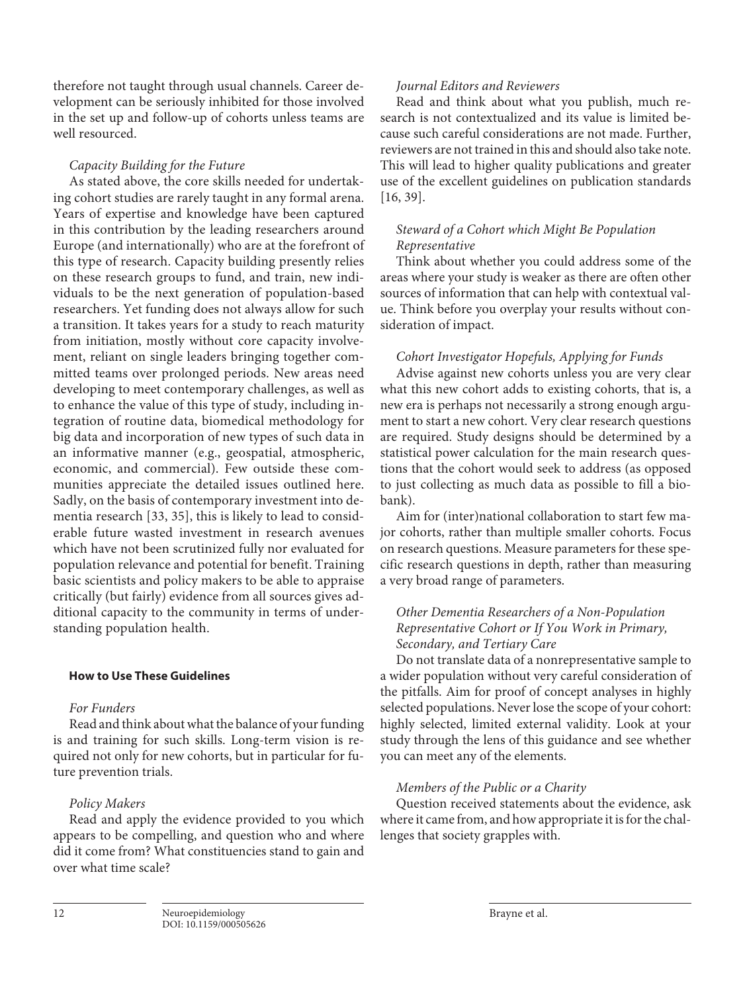therefore not taught through usual channels. Career development can be seriously inhibited for those involved in the set up and follow-up of cohorts unless teams are well resourced.

# *Capacity Building for the Future*

As stated above, the core skills needed for undertaking cohort studies are rarely taught in any formal arena. Years of expertise and knowledge have been captured in this contribution by the leading researchers around Europe (and internationally) who are at the forefront of this type of research. Capacity building presently relies on these research groups to fund, and train, new individuals to be the next generation of population-based researchers. Yet funding does not always allow for such a transition. It takes years for a study to reach maturity from initiation, mostly without core capacity involvement, reliant on single leaders bringing together committed teams over prolonged periods. New areas need developing to meet contemporary challenges, as well as to enhance the value of this type of study, including integration of routine data, biomedical methodology for big data and incorporation of new types of such data in an informative manner (e.g., geospatial, atmospheric, economic, and commercial). Few outside these communities appreciate the detailed issues outlined here. Sadly, on the basis of contemporary investment into dementia research [[33,](#page-12-2) [3](#page-12-2)[5\]](#page-12-4), this is likely to lead to considerable future wasted investment in research avenues which have not been scrutinized fully nor evaluated for population relevance and potential for benefit. Training basic scientists and policy makers to be able to appraise critically (but fairly) evidence from all sources gives additional capacity to the community in terms of understanding population health.

# **How to Use These Guidelines**

# *For Funders*

Read and think about what the balance of your funding is and training for such skills. Long-term vision is required not only for new cohorts, but in particular for future prevention trials.

# *Policy Makers*

Read and apply the evidence provided to you which appears to be compelling, and question who and where did it come from? What constituencies stand to gain and over what time scale?

# *Journal Editors and Reviewers*

Read and think about what you publish, much research is not contextualized and its value is limited because such careful considerations are not made. Further, reviewers are not trained in this and should also take note. This will lead to higher quality publications and greater use of the excellent guidelines on publication standards [[1](#page-12-0)[6](#page-12-5), [3](#page-12-2)[9\]](#page-12-8).

# *Steward of a Cohort which Might Be Population Representative*

Think about whether you could address some of the areas where your study is weaker as there are often other sources of information that can help with contextual value. Think before you overplay your results without consideration of impact.

# *Cohort Investigator Hopefuls, Applying for Funds*

Advise against new cohorts unless you are very clear what this new cohort adds to existing cohorts, that is, a new era is perhaps not necessarily a strong enough argument to start a new cohort. Very clear research questions are required. Study designs should be determined by a statistical power calculation for the main research questions that the cohort would seek to address (as opposed to just collecting as much data as possible to fill a biobank).

Aim for (inter)national collaboration to start few major cohorts, rather than multiple smaller cohorts. Focus on research questions. Measure parameters for these specific research questions in depth, rather than measuring a very broad range of parameters.

# *Other Dementia Researchers of a Non-Population Representative Cohort or If You Work in Primary, Secondary, and Tertiary Care*

Do not translate data of a nonrepresentative sample to a wider population without very careful consideration of the pitfalls. Aim for proof of concept analyses in highly selected populations. Never lose the scope of your cohort: highly selected, limited external validity. Look at your study through the lens of this guidance and see whether you can meet any of the elements.

# *Members of the Public or a Charity*

Question received statements about the evidence, ask where it came from, and how appropriate it is for the challenges that society grapples with.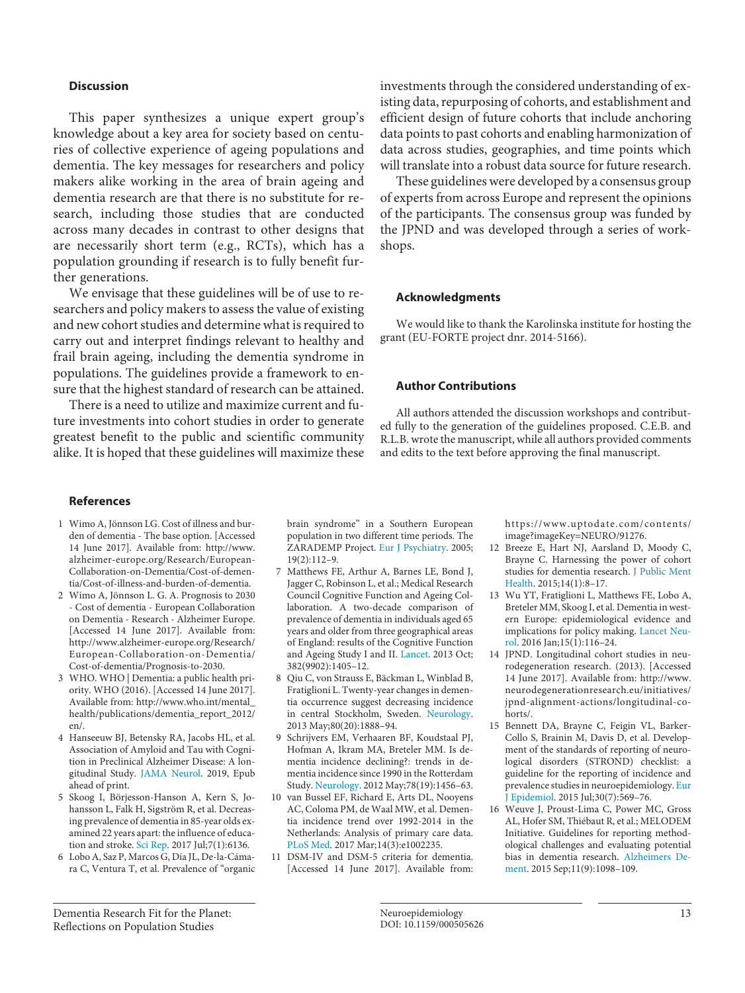#### **Discussion**

This paper synthesizes a unique expert group's knowledge about a key area for society based on centuries of collective experience of ageing populations and dementia. The key messages for researchers and policy makers alike working in the area of brain ageing and dementia research are that there is no substitute for research, including those studies that are conducted across many decades in contrast to other designs that are necessarily short term (e.g., RCTs), which has a population grounding if research is to fully benefit further generations.

We envisage that these guidelines will be of use to researchers and policy makers to assess the value of existing and new cohort studies and determine what is required to carry out and interpret findings relevant to healthy and frail brain ageing, including the dementia syndrome in populations. The guidelines provide a framework to ensure that the highest standard of research can be attained.

There is a need to utilize and maximize current and future investments into cohort studies in order to generate greatest benefit to the public and scientific community alike. It is hoped that these guidelines will maximize these

#### **References**

- <span id="page-12-0"></span>[1](#page-1-0) Wimo A, Jönnson LG. Cost of illness and burden of dementia - The base option. [Accessed 14 June 2017]. Available from: http://www. alzheimer-europe.org/Research/European-Collaboration-on-Dementia/Cost-of-dementia/Cost-of-illness-and-burden-of-dementia.
- <span id="page-12-1"></span>[2](#page-1-0) Wimo A, Jönnson L. G. A. Prognosis to 2030 - Cost of dementia - European Collaboration on Dementia - Research - Alzheimer Europe. [Accessed 14 June 2017]. Available from: http://www.alzheimer-europe.org/Research/ European-Collaboration-on-Dementia/ Cost-of-dementia/Prognosis-to-2030.
- <span id="page-12-2"></span>[3](#page-1-1) WHO. WHO | Dementia: a public health priority. WHO (2016). [Accessed 14 June 2017]. Available from: http://www.who.int/mental\_ health/publications/dementia\_report\_2012/ en/.
- <span id="page-12-3"></span>[4](#page-1-2) Hanseeuw BJ, Betensky RA, Jacobs HL, et al. Association of Amyloid and Tau with Cognition in Preclinical Alzheimer Disease: A longitudinal Study. [JAMA Neurol](https://www.karger.com/Article/FullText/0?ref=4#ref4). 2019, Epub ahead of print.
- <span id="page-12-4"></span>[5](#page-1-3) Skoog I, Börjesson-Hanson A, Kern S, Johansson L, Falk H, Sigström R, et al. Decreasing prevalence of dementia in 85-year olds examined 22 years apart: the influence of education and stroke. [Sci Rep.](https://www.karger.com/Article/FullText/0?ref=5#ref5) 2017 Jul;7(1):6136.
- <span id="page-12-5"></span>[6](#page-1-3) Lobo A, Saz P, Marcos G, Día JL, De-la-Cámara C, Ventura T, et al. Prevalence of "organic

investments through the considered understanding of existing data, repurposing of cohorts, and establishment and efficient design of future cohorts that include anchoring data points to past cohorts and enabling harmonization of data across studies, geographies, and time points which will translate into a robust data source for future research.

These guidelines were developed by a consensus group of experts from across Europe and represent the opinions of the participants. The consensus group was funded by the JPND and was developed through a series of workshops.

#### **Acknowledgments**

We would like to thank the Karolinska institute for hosting the grant (EU-FORTE project dnr. 2014-5166).

#### **Author Contributions**

All authors attended the discussion workshops and contributed fully to the generation of the guidelines proposed. C.E.B. and R.L.B. wrote the manuscript, while all authors provided comments and edits to the text before approving the final manuscript.

brain syndrome" in a Southern European population in two different time periods. The ZARADEMP Project. [Eur J Psychiatry.](https://www.karger.com/Article/FullText/0?ref=6#ref6) 2005; 19(2):112–9.

- <span id="page-12-6"></span>[7](#page-1-3) Matthews FE, Arthur A, Barnes LE, Bond J, Jagger C, Robinson L, et al.; Medical Research Council Cognitive Function and Ageing Collaboration. A two-decade comparison of prevalence of dementia in individuals aged 65 years and older from three geographical areas of England: results of the Cognitive Function and Ageing Study I and II. [Lancet](https://www.karger.com/Article/FullText/0?ref=7#ref7). 2013 Oct; 382(9902):1405–12.
- <span id="page-12-7"></span>[8](#page-1-3) Qiu C, von Strauss E, Bäckman L, Winblad B, Fratiglioni L. Twenty-year changes in dementia occurrence suggest decreasing incidence in central Stockholm, Sweden. [Neurology.](https://www.karger.com/Article/FullText/0?ref=8#ref8) 2013 May;80(20):1888–94.
- <span id="page-12-8"></span>[9](#page-1-3) Schrijvers EM, Verhaaren BF, Koudstaal PJ, Hofman A, Ikram MA, Breteler MM. Is dementia incidence declining?: trends in dementia incidence since 1990 in the Rotterdam Study. [Neurology](https://www.karger.com/Article/FullText/0?ref=9#ref9). 2012 May;78(19):1456–63.
- [10](#page-1-3) van Bussel EF, Richard E, Arts DL, Nooyens AC, Coloma PM, de Waal MW, et al. Dementia incidence trend over 1992-2014 in the Netherlands: Analysis of primary care data. [PLoS Med.](https://www.karger.com/Article/FullText/0?ref=10#ref10) 2017 Mar;14(3):e1002235.
- [11](#page-2-0) DSM-IV and DSM-5 criteria for dementia. [Accessed 14 June 2017]. Available from:

https://www.uptodate.com/contents/ image?imageKey=NEURO/91276.

- [12](#page-2-0) Breeze E, Hart NJ, Aarsland D, Moody C, Brayne C. Harnessing the power of cohort studies for dementia research. [J Public Ment](https://www.karger.com/Article/FullText/0?ref=12#ref12)  [Health](https://www.karger.com/Article/FullText/0?ref=12#ref12). 2015;14(1):8–17.
- [13](#page-2-0) Wu YT, Fratiglioni L, Matthews FE, Lobo A, Breteler MM, Skoog I, et al. Dementia in western Europe: epidemiological evidence and implications for policy making. [Lancet Neu](https://www.karger.com/Article/FullText/0?ref=13#ref13)[rol](https://www.karger.com/Article/FullText/0?ref=13#ref13). 2016 Jan;15(1):116–24.
- [14](#page-2-0) JPND. Longitudinal cohort studies in neurodegeneration research. (2013). [Accessed 14 June 2017]. Available from: http://www. neurodegenerationresearch.eu/initiatives/ jpnd-alignment-actions/longitudinal-cohorts/.
- [15](#page-2-1) Bennett DA, Brayne C, Feigin VL, Barker-Collo S, Brainin M, Davis D, et al. Development of the standards of reporting of neurological disorders (STROND) checklist: a guideline for the reporting of incidence and prevalence studies in neuroepidemiology. [Eur](https://www.karger.com/Article/FullText/0?ref=15#ref15)  [J Epidemiol.](https://www.karger.com/Article/FullText/0?ref=15#ref15) 2015 Jul;30(7):569–76.
- [16](#page-2-1) Weuve J, Proust-Lima C, Power MC, Gross AL, Hofer SM, Thiébaut R, et al.; MELODEM Initiative. Guidelines for reporting methodological challenges and evaluating potential bias in dementia research. [Alzheimers De](https://www.karger.com/Article/FullText/0?ref=16#ref16)[ment](https://www.karger.com/Article/FullText/0?ref=16#ref16). 2015 Sep;11(9):1098–109.